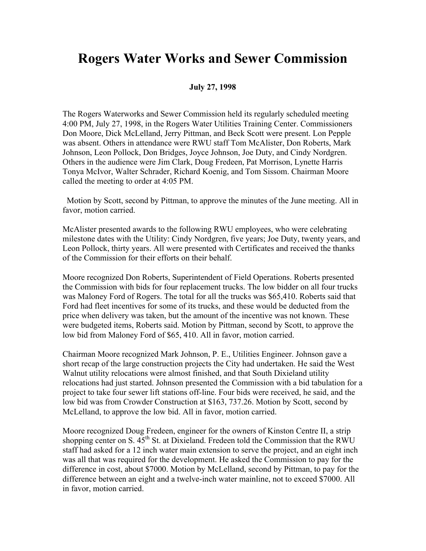## **Rogers Water Works and Sewer Commission**

## **July 27, 1998**

The Rogers Waterworks and Sewer Commission held its regularly scheduled meeting 4:00 PM, July 27, 1998, in the Rogers Water Utilities Training Center. Commissioners Don Moore, Dick McLelland, Jerry Pittman, and Beck Scott were present. Lon Pepple was absent. Others in attendance were RWU staff Tom McAlister, Don Roberts, Mark Johnson, Leon Pollock, Don Bridges, Joyce Johnson, Joe Duty, and Cindy Nordgren. Others in the audience were Jim Clark, Doug Fredeen, Pat Morrison, Lynette Harris Tonya McIvor, Walter Schrader, Richard Koenig, and Tom Sissom. Chairman Moore called the meeting to order at 4:05 PM.

 Motion by Scott, second by Pittman, to approve the minutes of the June meeting. All in favor, motion carried.

McAlister presented awards to the following RWU employees, who were celebrating milestone dates with the Utility: Cindy Nordgren, five years; Joe Duty, twenty years, and Leon Pollock, thirty years. All were presented with Certificates and received the thanks of the Commission for their efforts on their behalf.

Moore recognized Don Roberts, Superintendent of Field Operations. Roberts presented the Commission with bids for four replacement trucks. The low bidder on all four trucks was Maloney Ford of Rogers. The total for all the trucks was \$65,410. Roberts said that Ford had fleet incentives for some of its trucks, and these would be deducted from the price when delivery was taken, but the amount of the incentive was not known. These were budgeted items, Roberts said. Motion by Pittman, second by Scott, to approve the low bid from Maloney Ford of \$65, 410. All in favor, motion carried.

Chairman Moore recognized Mark Johnson, P. E., Utilities Engineer. Johnson gave a short recap of the large construction projects the City had undertaken. He said the West Walnut utility relocations were almost finished, and that South Dixieland utility relocations had just started. Johnson presented the Commission with a bid tabulation for a project to take four sewer lift stations off-line. Four bids were received, he said, and the low bid was from Crowder Construction at \$163, 737.26. Motion by Scott, second by McLelland, to approve the low bid. All in favor, motion carried.

Moore recognized Doug Fredeen, engineer for the owners of Kinston Centre II, a strip shopping center on S.  $45^{th}$  St. at Dixieland. Fredeen told the Commission that the RWU staff had asked for a 12 inch water main extension to serve the project, and an eight inch was all that was required for the development. He asked the Commission to pay for the difference in cost, about \$7000. Motion by McLelland, second by Pittman, to pay for the difference between an eight and a twelve-inch water mainline, not to exceed \$7000. All in favor, motion carried.